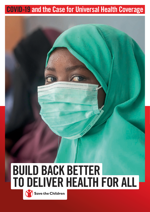# COVID-19 and the Case for Universal Health Coverage



# **Save the Children**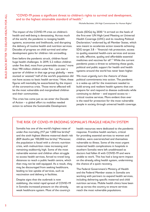### "COVID-19 poses a significant threat to children's rights to survival and development, and to the highest attainable standard of health."

Michelle Bachelet, UN High Commissioner for Human Rights <sup>1</sup>

The impact of the COVID-19 crisis on children's health and well-being is devastating. Across much of the world, the pandemic is ravaging health systems, economies and livelihoods, and disrupting the delivery of routine health and nutrition services. Decades of progress on child survival and other development gains for children risk unravelling.

Even before the pandemic struck, children faced huge health challenges. In 2019, 5.2 million children under five died, most from preventable causes; $^2$  more than 190 million children under five – just over a quarter of children in that age group globally – were stunted or wasted;<sup>3</sup> half of the world's population did not have access to basic health services.<sup>4</sup> Now, these figures will inevitably be exacerbated by the impact of the coronavirus crisis. Those worst affected will be the most vulnerable and marginalised children and their communities.

This crisis has come just as we enter the Decade of Action – a global effort to mobilise needed action to achieve the Sustainable Development

Goals (SDGs) by  $2030<sup>5</sup>$  It arrived on the heels of the first-ever UN High-Level Meeting on Universal Health Coverage (UHC) and its resulting Political Declaration,<sup>6</sup> endorsed by all Member States, which was meant to accelerate action towards achieving SDG target 3.8 – "financial risk protection, access to quality essential health-care services and access to safe, effective, quality and affordable essential medicines and vaccines for all".7 While the current pandemic poses a threat to achieving these goals, political and public support for health and health systems around the world has never been higher.

We must urgently turn the rhetoric of these political commitments into action. The pandemic is a wake-up call for the investment needed to build strong and resilient health systems that can prepare for and respond to disease outbreaks while continuing to deliver – and expand access to – critical routine services. More evident than ever is the need for protection for the most vulnerable people in society through universal health coverage.

# THE RISK OF COVID-19 ERODING SOMALIA'S FRAGILE HEALTH SYSTEM

Somalia has one of the world's highest rates of under-five mortality (117 per 1,000 live births) $8$ and the sixth highest lifetime maternal death risk (829 deaths per 100,000 live births).<sup>9</sup> Moreover, the population is faced with a chronic nutrition crisis, with malnutrition rates increasing and remaining stubbornly high. Some of the most vulnerable women and children often struggle to access health services, forced to travel long distances to reach a public health centre, which then may not be well equipped. As a result, they may be discouraged from seeking healthcare, leading to low uptake of services, such as vaccination and delivery in facilities.

Despite signs that the outbreak is now stabilising, the initial rapid spread of COVID-19 in Somalia increased pressure on the already weak healthcare system. Most of the country's

health resources were dedicated to the pandemic response. Frontline health workers, critical for providing essential services to women and children, were overstretched and themselves vulnerable to illness. Some of the most urgent maternal health complications in hospitals in southern Somalia were left unaddressed as doctors had fallen ill with COVID-19 and were unable to work. This has had a long-term impact on the already ailing health system, undermining the chance of a quick recovery.

The Federal Government's Ministry of Health and the Federal Member states in Somalia are working with partners to expand health services, including delivering specific maternal and child nutrition services. Mobile health clinics have been set up across the country to ensure services reach the most vulnerable populations.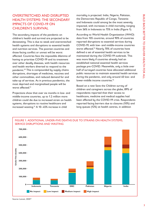# OVERSTRETCHED AND DISRUPTED HEALTH SYSTEMS: THE SECONDARY IMPACTS OF COVID-19 ON CHILDREN'S SURVIVAL

The secondary impacts of the pandemic on children's health and survival are projected to be devastating. This is due to weak and overstretched health systems and disruptions to essential health and nutrition services. The poorest countries and those facing conflict or unrest will be worst affected. Countries face the impossible dilemma of having to prioritise COVID-19 and its treatment over other deadly diseases, with health resources and health workers diverted to respond to the pandemic.10 This is compounded by supply chains disruptions, shortages of medicines, vaccines and other commodities, and reduced demand for and take-up of services. As in previous pandemics, the most deprived and marginalised people will be worst affected.<sup>11</sup>

Projections show that over six months in low- and middle-income countries, up to 1.2 million more children could die due to increased strain on health systems, disruptions to routine healthcare and increased wasting.12 A 10–45% increase in child

mortality is projected. India, Nigeria, Pakistan, the Democratic Republic of Congo, Tanzania and Indonesia could among be the most severely impacted, with increases in child mortality ranging from 56% in Indonesia to 75% in India (Figure 1).

According to World Health Organization (WHO) data from 105 countries, around 90% of countries reported disruptions to essential services during COVID-19, with low- and middle-income countries worst affected.<sup>14</sup> Nearly 70% of countries have defined a set of essential health services to be maintained during the COVID-19 outbreak. This was more likely if countries already had an established national essential health services package pre-COVID. Meanwhile, only a little over half of surveyed countries have allocated additional public resources to maintain essential health services during the pandemic, and only around 40 low- and lower-middle income countries.<sup>15</sup>

Based on a new Save the Children survey of children and caregivers across the globe, 89% of respondents reported that their access to healthcare, medicine and medical supplies had been affected by the COVID-19 crisis. Respondents reported facing barriers due to closures (10%) and long queues (12%) at health centres, in addition

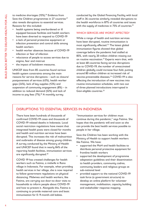to medicine shortages (15%).<sup>16</sup> Evidence from Save the Children programmes in 27 countries<sup>27</sup> also reveals disruptions to essential services. Reasons for this included:

- health sustems being overburdened or ill equipped because facilities and health workers have been diverted to respond to COVID-19
- a lack of personal protective equipment or infection prevention and control skills among health workers
- health worker absences because of COVID-19 infection or fear of infection
- reluctance of people to access services due to stigma, fear and mistrust
- the impact of lockdown measures.

UNICEF data from 85 countries found various health sustem constraints among the main reasons for service disruptions – such as closure/ postponement of services (43%), health worker gaps (24%), lack of key supplies (12%) and suspension of community engagement (8%) – in addition to reduced demand (52%) and lack of income to pay fees (7%).<sup>18</sup> A monthly survey

conducted by the Global Financing Facility with local staff in 36 countries similarly revealed disruptions to the health workforce in 87% of countries and issues with the supply of medicines in 75% of countries.<sup>19</sup>

#### WHICH SERVICES ARE WORST AFFECTED?

While a range of health and nutrition services have been disrupted, routine immunisation is most significantly affected.<sup>22</sup> The latest global immunisation figures showed that global coverage before the pandemic had stalled at 85%, with nearly 20 million children missing out on routine vaccination.<sup>23</sup> Experts warn that, with at least 68 countries facing service disruptions due to COVID-19, the number of unvaccinated children globally could increase four-fold, putting around 80 million children at increased risk of vaccine-preventable diseases.<sup>24</sup> COVID-19 is also affecting the introduction of new vaccines into routine immunisation schedules, with two out of three planned introductions interrupted in Gavi-eligible countries.<sup>25</sup>

### DISRUPTIONS TO ESSENTIAL SERVICES IN INDONESIA

There have been hundreds of thousands of confirmed COVID-19 cases and thousands of COVID-19 related deaths in Indonesia. Local social restriction regulations have meant that integrated health posts were closed for months and health and nutrition services have been disrupted. This increases the risk of malnutrition and outbreaks of disease among young children. A survey conducted by the Ministry of Health and UNICEF found that in nearly 84% of the reporting health facilities, immunisation services are significantly disrupted.<sup>20</sup>

COVID 19 has created challenges for health workers such as Fatima, a midwife in Rano village in Indonesia. For example, when providing health services in her village, she is now required to follow government regulations on physical distancing. Midwives and health workers, like Fatima, are carrying out door-to-door visits to households to inform people about COVID-19 and how to prevent it. Alongside this, Fatima is continuing to provide maternal care and basic immunisation for 0–9-month-old babies.

"Immunisation services for children must continue during this pandemic," says Fatima. She hopes that the pandemic will end soon so she can provide the best health services possible to people in her village.

Save the Children has been working with the Ministry of Health to support health workers like Fatima. We have:

- supported the MoH and health facilities to distribute personal protective equipment for frontline health workers
- supported the development of programme adaptation guidelines and their dissemination to health providers, community cadres, community leaders and religious groups at sub-national level
- provided support to the national COVID-19 task force (a government structure) to develop an online platform for volunteer management, mobilisation, capacity building and stakeholder response mapping.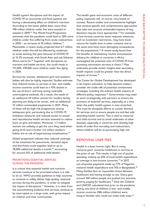Health system disruptions and the impact of COVID-19 on economies and food sustems are having a devastating effect on children's nutrition. According to the latest global data, more than 190 million children under five were stunted or wasted in 2019.26 The World Food Programme estimates that the pandemic could lead to 20% more children under five suffering from [acute malnutrition](https://insight.wfp.org/when-it-comes-to-the-coronavirus-its-the-number-of-new-cases-and-deaths-that-make-the-headlines-973835c6ad25) in 2020 – an increase of 10 million children.<sup>27</sup> Meanwhile, a recent study projected that 6.7 million children under five will be affected by moderate to acute wasting this year because of COVID-19 (a 14.3% increase), with South Asia and sub-Saharan Africa worst hit.<sup>28</sup> Together with disruptions to nutrition and health services, this could result in 111,000–178,000 more children under five dying in 2020.

Services for women, adolescent girls and newborn babies will also be highly impacted. Studies estimate that reduced access to services in low- and middleincome countries could lead to a 10% decline in the use of short- and long-acting reversible contraceptive methods. As a result, the needs of an additional 49 million women for modern family planning are likely to be unmet, with an additional 15 million unintended pregnancies in 2021. Many of these will be high-risk pregnancies among adolescent girls, particularly due to COVID-19 lockdown measures and reduced access to sexual and reproductive health services essential to reduce harm to girls and babies. Moreover, 1.7 million women are unlikely to get the care they need when giving birth and a further 2.6 million newborn babies are at risk of experiencing complications.<sup>29</sup>

Global projections indicate that reduced coverage of the treatment for pneumonia, neonatal sepsis and diarrhoea could together lead to up to 78,000 additional deaths a month,<sup>30</sup> accounting for around 41% of additional child deaths.

#### PRIORITISING ESSENTIAL SERVICES DURING THE PANDEMIC

It is critical that essential health and nutrition services continue to be prioritised where it is safe to do so. WHO provides guidance to help countries to continue to safely deliver high-quality, essential services during the pandemic, in order to mitigate the impact of disruptions. $31$  However, it is clear from the overwhelming evidence that services continue to be interrupted on a large scale, with grave impact on children and their communities.

The health gains and economic costs of different policy responses will, of course, vary based on context. Recent studies and commentaries highlight that context-specific and comprehensive approaches that take into account unintended impacts of any decisions may be more appropriate.<sup>32</sup> For example, in low-income countries some response measures, such as movement restrictions, may have lower returns for health than in other contexts and at the same time have more damaging consequences for the populations. $33$  A recent study found that the benefits of maintaining routine immunisation delivery for children in countries in Africa outweighed the potential risks of COVID-19 from accessing vaccination services in clinics.<sup>34</sup> Past outbreaks provide similar insights that secondary health impacts could be greater than the direct impacts of viruses.<sup>35</sup>

The Center for Global Development has developed a net impact calculator to help decision-makers consider the trade-offs of potential containment strategies, including the indirect health impacts of different policy responses.<sup>36</sup> Governments may need to work strategically with partners to ensure the provision of essential services, especially at a time when the public health system is over-stretched. This must be alongside efforts to sustain demand for services and to ensure people are and feel safe attending health centres. This is vital to maternal and child survival and to avoid outbreaks of other diseases, especially in countries with already high levels of under-five mortality and malnutrition, where children will be at particularly high risk.

### REMOVING USER FEES

Health is a basic human right. But in many resource-poor countries healthcare is not free at the point of use. This results in high out of pocket spending, making up 40% of total health expenditure on average in low-income countries.37 In 2017, out-of-pocket payments made up 77% of Nigeria's national health expenditure and 74% in Bangladesh.<sup>38</sup> Many families face an impossible choice between healthcare and having enough to eat. Every year around 100 million people are pushed into extreme poverty paying for healthcare.<sup>39</sup> Save the Children and UNICEF calculated that prior to the pandemic nearly one-third of children in low- and middleincome countries (586 million children) were living in families who could not make ends meet.<sup>40</sup>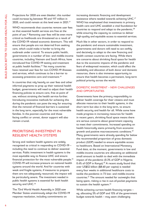Projections for 2020 are even bleaker; this number could increase by between 90 and 117 million in 2020, and could remain at this level even in 2021.<sup>41</sup>

WHO recommends that countries remove user fees so that essential health services are free at the point of use.<sup>42</sup> Removing user fees will be even more critical as livelihoods are threatened as a result of the COVID-19 related economic downturn. This will ensure that people are not deterred from seeking care, which could make it harder to bring the outbreak under control. To ensure public health, governments in a number of low- and middle-income countries, including Vietnam and South Africa, have introduced free COVID-19 testing and treatment at public health facilities.<sup>43</sup> Yet many countries have retained user fees for non-COVID-19 illnesses and services, which continues to be a barrier to accessing preventive care and treatment.<sup>44</sup>

In countries that rely heavily on user fees and other informal payments to prop up their national health budget, governments will need to adjust their health financing policies to ensure care, free at point of use, without straining the health service further. Introducing innovative methods for achieving this during the pandemic can pave the way for ensuring that the removal of financial barriers is sustained in the long term, especially for the most vulnerable families. In the poorest countries and those facing conflict or unrest, donor support will also remain crucial.

# PRIORITISING INVESTMENT IN RESILIENT HEALTH SYSTEMS

Strong and resilient health systems are widely recognised as critical in responding to COVID-19 – including the need to continue to deliver essential services. Public investment in health systems is the most equitable way to finance UHC and ensure financial protection for the most vulnerable people.<sup>45</sup> COVID-19 will increase pressure on national health systems around the world. And for countries with weak and fragile systems, if measures to prepare them are not adequately resourced, the impact will be particularly severe. The investment needed in public health systems is essential for both health security and UHC.<sup>46</sup>

The 73rd World Health Assembly in 2020 saw Member States unanimously adopt the COVID-19 response resolution, including commitments on

increasing domestic financing and development assistance where needed towards achieving UHC.<sup>47</sup> WHO has emphasised that investments in primary health care and UHC establish a vital foundation for countries to respond and adapt to the pandemic.<sup>48</sup> while ensuring the capacity to continue to deliver high-quality and equitable access to essential services.

Much like in other sectors, in order to respond to the pandemic and ensure sustainable investment, governments and donors will need to act swiftly and decisively to adapt to the new financing and health context countries are facing. While there are concerns about shrinking fiscal space for health due to the economic impacts of the pandemic and fears of widespread recession, which could affect the availability and allocation of both donor and domestic resources, there is also immense opportunity to ensure that health becomes a permanent, long-term political priority across the world.

#### DOMESTIC INVESTMENT – NEW CHALLENGES AND OPPORTUNITIES

Governments have the primary responsibility to deliver health coverage for their citizens and must allocate resources to their health systems, in the short term but also in the long term, to ensure health security and health for all. While some have made progress in increasing resources for health in recent years, shrinking fiscal space means there are serious concerns about government capacity to meet their commitments. Increased spending on health historically stems primarily from economic growth and positive macroeconomic conditions.49 Many governments were already spending far below the recommended proportion of gross domestic product (GDP) needed to ensure equitable access to healthcare. Based on International Monetary Fund data, at the moment, governments in low and middle-income countries are allocating an additional small amount to health to deal with the immediate impact of the pandemic (0.3% of GDP in Nigeria; 0.4% of GDP in Kenya).<sup>50</sup> A recent study found that over US\$52 billion (\$8.60 per capita) is needed every four weeks in additional healthcare costs to tackle the pandemic in 73 low- and middle-income countries.51 The amount needed far outweighs that being spent, risking a rise in out-of-pocket payments to sustain the health system.<sup>52</sup>

While achieving current health financing targets – eg, allocating 5% of GDP and 15% of the government budget towards health – may seem challenging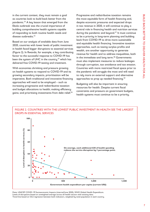in the current context, they must remain a goal as countries look to build back better from the pandemic.<sup>53</sup> A key lesson that emerged from the Ebola outbreak was the crucial importance of building comprehensive health sustems capable of responding to both routine health needs and disease outbreaks.<sup>54</sup>

Based on our analysis of available data from June 2020, countries with lower levels of public investment in health faced bigger disruptions to essential services (Figure 2). In Rwanda, for example, a key contributing factor to the successful response to COVID-19 has been the system of UHC in the country,<sup>55</sup> which has delivered free COVID-19 testing and treatment.

With economies shrinking and pressure growing on health systems to respond to COVID-19 and its growing secondary impacts, prioritisation will be imperative. Both traditional and innovative financing approaches will need to be employed – such as increasing progressive and redistributive taxation and budget allocations to health; making efficiency gains; and prioritising investments from debt relief.<sup>56</sup>

Progressive and redistributive taxation remains the most equitable form of health financing and, despite economic pressures and expected drops in tax revenue in 2020, it will continue to play a central role in financing health and nutrition services during the pandemic and beyond.<sup>57</sup> It must continue to be a priority in long-term planning and building back from COVID-19 to drive more sustainable and equitable health financing. Innovative taxation approaches, such as taxing surplus profits and wealth, are another opportunity to generate revenue for health and to address inequalities, both in the immediate and long term.<sup>58</sup> Governments must also implement measures to reduce leakages through corruption, tax avoidance and tax evasion. Countries with more restricted fiscal space prior to the pandemic will struggle the most and will need to rely more on external support and alternative approaches to prop up needed financing.<sup>59</sup>

Budgeting will also be important in ensuring resources for health. Despite current fiscal constraints and pressure on government budgets, health systems must continue to be a priority.





Data: UNICEF COVID−19 Socioeconomic Impacts (internal/June 2020), WHO Global Health Expenditure. Levels of disruptions based on unweighted average across all health sectors with existing data.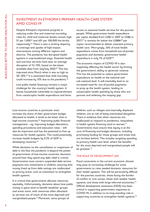# INVESTMENT IN ETHIOPIA'S PRIMARY HEALTH CARE SYSTEM AMID COVID-19

Despite Ethiopia's impressive progress in reducing under-five and maternal mortality, rates for child and maternal deaths remain high: 51 per  $1,000^{62}$  and  $401$  per  $100,000$  live births, respectively.<sup>63</sup> There is also a striking disparity in coverage and uptake of high-impact interventions among different regions and districts. The pandemic has disrupted health systems in unprecedented ways. Essential health and nutrition services have seen an average disruption of 12–15%, based on the latest available data from July/July 2020.<sup>64</sup> This has improved since March when it was as high as 20–30%.65 It is estimated that child mortality could increase by 15% due to the pandemic.<sup>66</sup>

Low public health financing remains a major challenge for the country's health system. It leaves households vulnerable to impoverishment from catastrophic health expenditure and limits

access to essential health services for the poorest people. While government health expenditure per capita doubled from US\$3 in 2007 to US\$6 in 2017,<sup>67</sup> it remains far below the US\$86<sup>68</sup> per capita recommended to deliver essential primary health care. Worryingly, 34% of total health expenditure comes from household out-of-pocket payments and domestic government health expenditure is only 1% of GDP.<sup>69</sup>

The economic impact of COVID-19 is also negatively affecting the health sector by limiting the government's ability to generate revenue. This has the potential to reduce government expenditure on health at the national and sub-national level. It will inevitably lead to an increased need for out-of-pocket payments to prop up the health system, leading to catastrophic health spending by those who are poorest and widening the inequity gap.

Low-income countries in particular must increase the share of their government budget allocated to health; it tends to be lower than in high-income countries.<sup>60</sup> Improving public financial management – eg, improving budget allocations, spending procedures and execution rates – will also be important and has the potential to free up resources for health systems. This could potentially increase health budgets by 0.5% of GDP in developing countries.<sup>61</sup>

While decisions on the cancellation or suspension of debt in the face the pandemic is beyond the power of governments of low-income countries, decisions around how they spend any debt relief is critical. Governments must convert suspended debt service payments into investments in children, ensuring that money freed up from debt savings are reallocated to priority areas, such as investment to strengthen health systems.

It is critical that governments allocate resources equitably. Unfortunately, decisions about how public money is spent tend to benefit wealthier groups and areas more, with resources often allocated to services out of reach of the most deprived and marginalised people.70 Moreover, some groups of

children, such as refugee and internally displaced children, are at risk of being overlooked altogether. There is evidence that when resources are reallocated to respond to pandemics, inequalities in health system financing tend to worsen.<sup>71</sup> Governments must ensure that equity is at the core of financing and budget decisions, including prioritising funding for those groups and areas that are furthest behind. This includes targeting spending at primary health care level, where the benefits for the most deprived and marginalised people will be greatest.<sup>72</sup>

#### THE ROLE OF DEVELOPMENT AID

Fiscal constraints in the current economic climate may pose an increasing challenge for some governments to raise needed domestic resources for their health systems. This will be particularly difficult for the poorest countries, those facing the burden of conflict or civic unrest, those with weaker health systems, and those with large informal economies.<sup>73</sup> Official development assistance (ODA) has been critical in supporting government responses to COVID-19, in addition to its long-standing role in supporting countries to strengthen health systems.<sup>74</sup>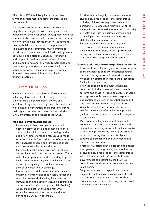The role of ODA will likely increase as other forms of development financing are affected by the pandemic.<sup>75</sup>

Despite recessions hitting donor countries as they themselves grapple with the impacts of the pandemic on their economies, development aid must continue to be a stable and transformative resource for low- and middle-income countries, supporting them to build back better from the pandemic.<sup>76</sup> The international community must continue to prioritise aid commitments, which will be important both during and after the pandemic. Financing and support from donors must be coordinated and aligned to national priorities to help build and sustain comprehensive and universal health and nutrition services. It must also help strengthen domestic resource mobilisation and health financing systems.

# RECOMMENDATIONS

We must act now to accelerate efforts towards achieving Universal Health Coverage. Save the Children calls on governments, donors and multilateral organisations to protect the health and well-being of a generation of children and ensure their right to survive and thrive, in line with the UN Convention on the Rights of the Child.

#### **National governments should:**

- Improve equitable coverage of health and nutrition services, including removing financial and non-financial barriers to accessing services and prioritising efforts and resources to make services available free at the point of use, at least for vulnerable children and families and those with pre-existing health conditions.
- Increase domestic public investment in strong and resilient health and nutrition systems. This is critical in preparing for and responding to public health emergencies, as part of wider efforts to deliver good-quality essential services for all, as part of universal health coverage.
- Ensure that essential routine services such as maternal, newborn and child health, sexual and reproductive health (including for adolescents), immunisation and nutrition (including counselling and support for infant and young child feeding), which are critical for child and maternal survival – are maintained and strengthened during the COVID-19 outbreak.
- Provide safe and legally mandated spaces for civil society organisations and communities, including children, as key stakeholders in achieving UHC and good nutrition for all, to engage in decision-making about and monitoring of health and nutrition service provision and in developing and disseminating inter alia child-friendly health information.
- Ensure suspended debt service payments are converted into investments in children, guaranteeing that money freed up from debt savings is reallocated to priority areas, such as investment to strengthen health systems.

#### **Donors and multilateral organisations should:**

- Prioritise flexible financing and technical support to strengthen the capacity of national health and nutrition systems and domestic resource mobilisation efforts to increase the fiscal space for health and nutrition.
- Prioritise support to the most vulnerable countries, including those with weak health systems and those in fragile or conflict-affected settings, to enable preparedness, response and continued delivery of essential health and nutrition services, free at the point of use.
- Use international and national platforms to call for the removal of user fees and provide guidance on how countries can make progress in this regard.
- Meet long-standing aid commitments and continue to prioritise wider investments and support for health systems and child survival to protect and prioritise the delivery of essential services, ensuring that support is aligned to support comprehensive and universal health and nutrition services.
- Protect civil society space. Support and finance the systematic strengthening and mobilisation of civil society organisations and communities, with children at the forefront, to hold their governments to account on child survival commitments and resources to ensure no one is left behind.
- Support initiatives to suspend debt service payments for low-income countries and work with national governments to ensure that money freed up from debt savings is converted into investments in children.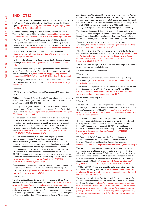# ENDNOTES

<sup>1</sup> M Bachelet, speech to the United Nations General Assembly, 25 June 2020, United Nations Office of the High Commissioner for Human Rights, [https://www.ohchr.org/EN/NewsEvents/Pages/DisplayNews.](https://www.ohchr.org/EN/NewsEvents/Pages/DisplayNews.aspx?NewsID=26000&LangID=E) [aspx?NewsID=26000&LangID=E](https://www.ohchr.org/EN/NewsEvents/Pages/DisplayNews.aspx?NewsID=26000&LangID=E)

2 UN Inter-agency Group for Child Mortality Estimation, Levels & Trends in Estimates in Child Mortality, [https://childmortality.org/wp](https://childmortality.org/wp-content/uploads/2020/09/UNICEF-2020-Child-Mortality-Report.pdf)[content/uploads/2020/09/UNICEF-2020-Child-Mortality-Report.pdf](https://childmortality.org/wp-content/uploads/2020/09/UNICEF-2020-Child-Mortality-Report.pdf)

<sup>3</sup> *The State of Food Security and Nutrition in the World 2020*, Food and Agriculture Organization, International Fund for Agricultural Development, UNICEF, World Food Programme and World Health Organization,<http://www.fao.org/3/ca9692en/online/ca9692en.html>

4 World Health Organization, 'Health Financing' (webpage), [https://www.who.int/health\\_financing/topics/financial-protection/](https://www.who.int/health_financing/topics/financial-protection/key-policy-messages/en/) [key-policy-messages/en/](https://www.who.int/health_financing/topics/financial-protection/key-policy-messages/en/)

<sup>5</sup> United Nations Sustainable Development Goals, Decade of action (webpage), [https://www.un.org/sustainabledevelopment/decade-of](https://www.un.org/sustainabledevelopment/decade-of-action/)[action/](https://www.un.org/sustainabledevelopment/decade-of-action/)

6 'Universal health coverage: moving together to build a healthier world', Political Declaration of the High-level Meeting on Universal Health Coverage, 2019, [https://www.un.org/pga/73/wp-content/](https://www.un.org/pga/73/wp-content/uploads/sites/53/2019/07/FINAL-draft-UHC-Political-Declaration.pdf) [uploads/sites/53/2019/07/FINAL-draft-UHC-Political-Declaration.pdf](https://www.un.org/pga/73/wp-content/uploads/sites/53/2019/07/FINAL-draft-UHC-Political-Declaration.pdf)

 $7$  SDG target 3.8 falls under SDG goal 3 to ensure healthy lives and promote wellbeing for all at all ages. See: [https://www.who.int/sdg/](https://www.who.int/sdg/targets/en/) [targets/en/](https://www.who.int/sdg/targets/en/)

#### 8 See note 2

9 WHO Global Health Observatory. Date accessed 10 September 2020.

<sup>10</sup> Gilbert M, Pullano G, Pinotti F, et al., 'Preparedness and vulnerability of African countries against importations of COVID-19: a modelling study', *Lancet*, 2020; 395: 871–877

11 Y-Ling Chi et al (2020) Beyond COVID-19: A Whole of Health Look at Impacts During the Pandemic Response, Center for Global Development, [https://www.cgdev.org/sites/default/files/PP177-Beyond-](https://www.cgdev.org/sites/default/files/PP177-Beyond-COVID-scoping-paper.pdf)[COVID-scoping-paper.pdf](https://www.cgdev.org/sites/default/files/PP177-Beyond-COVID-scoping-paper.pdf)

<sup>12</sup> This is based on coverage reductions of 39.3-51.9% and wasting increase of 50% over 6 months across 118 low and middle income countries. These additional deaths would represent an increase of 9.8–44.7% in under-5 child deaths per month, and an 8.3–38.6% increase in maternal deaths per month, across the 118 countries. Source: [https://www.thelancet.com/journals/langlo/article/PIIS2214-](https://www.thelancet.com/journals/langlo/article/PIIS2214-109X(20)30229-1/fulltext#seccestitle70) [109X\(20\)30229-1/fulltext#seccestitle70](https://www.thelancet.com/journals/langlo/article/PIIS2214-109X(20)30229-1/fulltext#seccestitle70)

<sup>13</sup> The no impact scenario is the projected trajectory based on historic rates of change. The low impact scenario is a small reduction in coverage and increase in malnutrition; the medium impact scenario is based on moderate reductions in coverage and increase in malnutrition; and the high impact scenario is based on large reductions in coverage and increase in malnutrition. Source: T Robertson et al, 'Early estimates of the indirect effects of the COVID-19 pandemic on maternal and child mortality in low-income and middle-income countries: a modelling study', *Lancet*, 12 May 2020, [https://www.thelancet.com/journals/langlo/article/PIIS2214-](https://www.thelancet.com/journals/langlo/article/PIIS2214-109X(20)30229-1/fulltext#seccestitle70) [109X\(20\)30229-1/fulltext#seccestitle70](https://www.thelancet.com/journals/langlo/article/PIIS2214-109X(20)30229-1/fulltext#seccestitle70)

14 World Health Organization, Pulse survey on continuity of essential health services during the COVID-19 pandemic: interim report, 27 August 2020, [https://www.who.int/publications/i/item/WHO-2019](https://www.who.int/publications/i/item/WHO-2019-nCoV-EHS_continuity-survey-2020.1) [nCoV-EHS\\_continuity-survey-2020.1](https://www.who.int/publications/i/item/WHO-2019-nCoV-EHS_continuity-survey-2020.1)

#### $15$  See note  $1/4$

16 J Edwards (2020) *Protect a Generation: The impact of COVID-19 on children's lives*, Save the Children International, [https://resourcecentre.](https://resourcecentre.savethechildren.net/node/18218/pdf/protect_a_generation_report_en_spread_090920.pdf) [savethechildren.net/node/18218/pdf/protect\\_a\\_generation\\_report\\_](https://resourcecentre.savethechildren.net/node/18218/pdf/protect_a_generation_report_en_spread_090920.pdf) [en\\_spread\\_090920.pdf](https://resourcecentre.savethechildren.net/node/18218/pdf/protect_a_generation_report_en_spread_090920.pdf). This quantitative data found in this report was gathered from a sample of Save the Children programme participants with email or phone contact details in 37 countries, across the regions of Asia, East and Southern Africa, West and Central Africa, Latin

America and the Caribbean, Middle East and Eastern Europe, Pacific, and North America. The countries were not randomly selected, and are therefore neither representative of all countries across the world, nor representative of all countries in which Save the Children operates. In total, 17,565 parents and caregivers and 8,069 children aged 11–17 years old participated in the programme participant survey.

17 Afghanistan, Bangladesh, Bolivia, Colombia, Dominican Republic, Egypt, El Salvador, Ethiopia, Guatemala, Haiti, Honduras, Ivory Coast, Kenya, Malawi, Laos, Myanmar, Nepal, Nicaragua, Pakistan, Peru, Philippines, Rwanda, Senegal, South Sudan, Sudan, Uganda, Venezuela.

18 UNICEF, Situation tracking for COVID-19 socioeconomic impacts (web tool), [https://data.unicef.org/resources/rapid-situation-tracking](https://data.unicef.org/resources/rapid-situation-tracking-covid-19-socioeconomic-impacts-data-viz/)[covid-19-socioeconomic-impacts-data-viz/](https://data.unicef.org/resources/rapid-situation-tracking-covid-19-socioeconomic-impacts-data-viz/)

19 K Kelland, 'Exclusive: Women, babies at risk as COVID-19 disrupts health services, World Bank warns', 24 June 2020, [https://www.reuters.](https://www.reuters.com/article/us-health-coronavirus-women-children-exc/exclusive-women-babies-at-risk-as-covid-19-disrupts-health-services-world-bank-warns-idUSKBN23V178) [com/article/us-health-coronavirus-women-children-exc/exclusive](https://www.reuters.com/article/us-health-coronavirus-women-children-exc/exclusive-women-babies-at-risk-as-covid-19-disrupts-health-services-world-bank-warns-idUSKBN23V178)[women-babies-at-risk-as-covid-19-disrupts-health-services-world](https://www.reuters.com/article/us-health-coronavirus-women-children-exc/exclusive-women-babies-at-risk-as-covid-19-disrupts-health-services-world-bank-warns-idUSKBN23V178)[bank-warns-idUSKBN23V178](https://www.reuters.com/article/us-health-coronavirus-women-children-exc/exclusive-women-babies-at-risk-as-covid-19-disrupts-health-services-world-bank-warns-idUSKBN23V178)

20 MoH and UNICEF, April 2020, Rapid Assessment: Impact of Covid-19 to immunization services in Indonesia

<sup>21</sup> Government structure at the time

22 See note 14

23 World Health Organization, 'Immunization coverage', 24 July 2020, (webpage), [https://www.who.int/news-room/fact-sheets/detail/](https://www.who.int/news-room/fact-sheets/detail/immunization-coverage) [immunization-coverage](https://www.who.int/news-room/fact-sheets/detail/immunization-coverage)

<sup>24</sup> World Health Organization, 'WHO and UNICEF warn of a decline in vaccinations during COVID-19', press reléase, 15 July 2020, [https://www.who.int/news-room/detail/15-07-2020-who-and-unicef](https://www.who.int/news-room/detail/15-07-2020-who-and-unicef-warn-of-a-decline-in-vaccinations-during-covid-19)[warn-of-a-decline-in-vaccinations-during-covid-19](https://www.who.int/news-room/detail/15-07-2020-who-and-unicef-warn-of-a-decline-in-vaccinations-during-covid-19)

<sup>25</sup> Gavi Board paper, July 2020

 $26$  See note 3

27 United Nations World Food Programme, 'Coronavirus threatens global surge in malnutrition, jeopardizing future of an extra 10 million children' press release, 20 May 2020, [https://www.wfp.org/news/](https://www.wfp.org/news/coronavirus-threatens-global-surge-malnutrition-jeopardizing-future-extra-10-million-children) [coronavirus-threatens-global-surge-malnutrition-jeopardizing-future](https://www.wfp.org/news/coronavirus-threatens-global-surge-malnutrition-jeopardizing-future-extra-10-million-children)[extra-10-million-children](https://www.wfp.org/news/coronavirus-threatens-global-surge-malnutrition-jeopardizing-future-extra-10-million-children)

<sup>28</sup> This is due to a combination of drops in household income, changes in the availability and affordability of nutritious foods, and interruptions to health, nutrition, and social protection services. Source: D Headey et al, 'Impacts of COVID-19 on childhood malnutrition and nutrition-related mortality', *Lancet*, 27 July 2020, [https://www.thelancet.com/journals/lancet/article/PIIS0140-](https://www.thelancet.com/journals/lancet/article/PIIS0140-6736(20)31647-0/fulltext) [6736\(20\)31647-0/fulltext](https://www.thelancet.com/journals/lancet/article/PIIS0140-6736(20)31647-0/fulltext)

 $29$  T Riley et al, (2020) Estimates of the Potential Impact of the COVID-19 Pandemic on Sexual and Reproductive Health in Low- and Middle-Income Countries, Guttmacher Institute, [https://www.guttmacher.org/sites/default/files/article\\_files/4607320.pdf](https://www.guttmacher.org/sites/default/files/article_files/4607320.pdf)

<sup>30</sup> Based on reductions in case management of neonatal sepsis or pneumonia, oral antibiotics for pneumonia, and oral rehydration solution for diarrhoea. Source: T Robertson et al, 'Early estimates of the indirect effects of the COVID-19 pandemic on maternal and child mortality in low-income and middle-income countries: a modelling study', *Lancet*, 12 May 2020, [https://www.thelancet.com/journals/](https://www.thelancet.com/journals/langlo/article/PIIS2214-109X(20)30229-1/fulltext#seccestitle70) [langlo/article/PIIS2214-109X\(20\)30229-1/fulltext#seccestitle70](https://www.thelancet.com/journals/langlo/article/PIIS2214-109X(20)30229-1/fulltext#seccestitle70)

31 WHO, COVID-19: operational guidance for maintaining essential health services during an outbreak, [https://www.who.int/publications](https://www.who.int/publications-detail/covid-19-operational-guidance-for-maintaining-essential-health-services-during-an-outbreak)[detail/covid-19-operational-guidance-for-maintaining-essential-health](https://www.who.int/publications-detail/covid-19-operational-guidance-for-maintaining-essential-health-services-during-an-outbreak)[services-during-an-outbreak](https://www.who.int/publications-detail/covid-19-operational-guidance-for-maintaining-essential-health-services-during-an-outbreak)

<sup>32</sup> A Glassman et al, 'Does One Size Fit All? Realistic alternatives for COVID-19 response in low-income countries', 2 April 2020, Center for Global Development, [https://www.cgdev.org/blog/does-one-size](https://www.cgdev.org/blog/does-one-size-fit-all-realistic-alternatives-covid-19-response-low-income-countries)[fit-all-realistic-alternatives-covid-19-response-low-income-countries;](https://www.cgdev.org/blog/does-one-size-fit-all-realistic-alternatives-covid-19-response-low-income-countries) [https://www.aljazeera.com/indepth/opinion/africa-social-distancing](https://www.aljazeera.com/indepth/opinion/africa-social-distancing-privilege-afford-200318151958670.html)[privilege-afford-200318151958670.html](https://www.aljazeera.com/indepth/opinion/africa-social-distancing-privilege-afford-200318151958670.html); [https://www.cgdev.org/blog/](https://www.cgdev.org/blog/more-harm-good-net-impact-covid-19-policies-what-matters-health) [more-harm-good-net-impact-covid-19-policies-what-matters-health](https://www.cgdev.org/blog/more-harm-good-net-impact-covid-19-policies-what-matters-health)

33 See note 32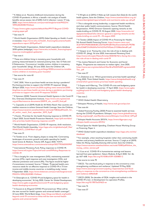34 K Abbas et al, 'Routine childhood immunisation during the COVID-19 pandemic in Africa: a benefit–risk analysis of health benefits versus excess risk of SARS-CoV-2 infection', *Lancet*, 17 July 2020, [https://www.thelancet.com/journals/langlo/article/PIIS2214-](https://www.thelancet.com/journals/langlo/article/PIIS2214-109X(20)30308-9/fulltext) [109X\(20\)30308-9/fulltext](https://www.thelancet.com/journals/langlo/article/PIIS2214-109X(20)30308-9/fulltext)

<sup>35</sup> [https://www.cgdev.org/sites/default/files/PP177-Beyond-COVID](https://www.cgdev.org/sites/default/files/PP177-Beyond-COVID-scoping-paper.pdf)[scoping-paper.pdf](https://www.cgdev.org/sites/default/files/PP177-Beyond-COVID-scoping-paper.pdf)

<sup>36</sup> See note 11

37 World Health Organization (2019) *Global Spending on Health: A world in transition*, [https://www.who.int/health\\_financing/documents/health](https://www.who.int/health_financing/documents/health-expenditure-report-2019.pdf?ua=1)[expenditure-report-2019.pdf?ua=1](https://www.who.int/health_financing/documents/health-expenditure-report-2019.pdf?ua=1)

38 World Health Organization, Global health expenditure database 2018 update (webpage), [https://www.who.int/health\\_financing/topics/](https://www.who.int/health_financing/topics/resource-tracking/ghed-update/en/) [resource-tracking/ghed-update/en/](https://www.who.int/health_financing/topics/resource-tracking/ghed-update/en/)

#### <sup>39</sup> See note 4

40 These are children living in monetary poor households with poverty measured based on national poverty lines. See: O Fiala and E Delamonica, 'Coronavirus' invisible victims: children in monetary poor households' (blog), 30 June 2020, Save the Children UK, [https://www.savethechildren.org.uk/blogs/2020/coronavirus-invisible](https://www.savethechildren.org.uk/blogs/2020/coronavirus-invisible-victims-children-in-monetary-poor-househol)[victims-children-in-monetary-poor-househol](https://www.savethechildren.org.uk/blogs/2020/coronavirus-invisible-victims-children-in-monetary-poor-househol)

41 See source for note 40

42 See note 31

43 UHC 2030, 'How to purchase health services during a pandemic? Purchasing priorities to support the COVID-19 response' (blog), 28 April 2020, [https://www.uhc2030.org/blog-news-events/uhc2030](https://www.uhc2030.org/blog-news-events/uhc2030-blog/how-to-purchase-health-services-during-a-pandemic-purchasing-priorities-to-support-the-covid-19-response-555353/) [blog/how-to-purchase-health-services-during-a-pandemic-purchasing](https://www.uhc2030.org/blog-news-events/uhc2030-blog/how-to-purchase-health-services-during-a-pandemic-purchasing-priorities-to-support-the-covid-19-response-555353/)[priorities-to-support-the-covid-19-response-555353/](https://www.uhc2030.org/blog-news-events/uhc2030-blog/how-to-purchase-health-services-during-a-pandemic-purchasing-priorities-to-support-the-covid-19-response-555353/)

44 E Samman (2020) Towards Universal Health Systems in the Covid-19 Era, Overseas Development Institute, [https://www.odi.org/sites/odi.](https://www.odi.org/sites/odi.org.uk/files/resource-documents/200919_uhc_covid19_final.pdf) [org.uk/files/resource-documents/200919\\_uhc\\_covid19\\_final.pdf](https://www.odi.org/sites/odi.org.uk/files/resource-documents/200919_uhc_covid19_final.pdf)

45 L Capsaskis et al (2019) *Health for All Within Reach: How countries can mobilise resources to achieve Universal Health Coverage*, Save the Children, [https://resourcecentre.savethechildren.net/node/15846/pdf/health\\_for\\_](https://resourcecentre.savethechildren.net/node/15846/pdf/health_for_all_within_reach_final_september_2019_0.pdf) all within reach final september 2019 0.pdf

46 J Kutzin, 'Priorities for the health financing response to COVID-19', 2 April 2020, Social Health Protection Network, [https://p4h.world/en/](https://p4h.world/en/who-priorities-health-financing-response-covid19) [who-priorities-health-financing-response-covid19](https://p4h.world/en/who-priorities-health-financing-response-covid19)

47 World Health Organization, COVID-19 response, draft resolution, 73rd World Health Assembly, [https://apps.who.int/gb/ebwha/pdf\\_files/](https://apps.who.int/gb/ebwha/pdf_files/WHA73/A73_CONF1Rev1-en.pdf) [WHA73/A73\\_CONF1Rev1-en.pdf](https://apps.who.int/gb/ebwha/pdf_files/WHA73/A73_CONF1Rev1-en.pdf)

#### 48 See note 31

49 A Tandon et al, 'From slippery slopes to steep hills: Contrasting landscapes of economic growth and public spending for health', *Social Science & Medicine*, Volume 259, August 2020, 113171, <https://www.sciencedirect.com/science/article/pii/S0277953620303907>

50 International Monetary Fund, Policy responses to COVID-19, [https://www.imf.org/en/Topics/imf-and-covid19/Policy-Responses-to-](https://www.imf.org/en/Topics/imf-and-covid19/Policy-Responses-to-COVID-19)[COVID-19](https://www.imf.org/en/Topics/imf-and-covid19/Policy-Responses-to-COVID-19)

<sup>51</sup> This is largely for case management (54%), maintaining essential services (21%), rapid response and case investigation (14%), and infection prevention and control (9%). This figure would be higher if transmission increased. Source: T Edejer, 'Projected health-care resource needs for an effective response to COVID-19 in 73 lowincome and middle-income countries: a modelling study', *Lancet*, 9 September 2020, [https://www.thelancet.com/journals/langlo/article/](https://www.thelancet.com/journals/langlo/article/PIIS2214-109X(20)30383-1/fulltext) [PIIS2214-109X\(20\)30383-1/fulltext](https://www.thelancet.com/journals/langlo/article/PIIS2214-109X(20)30383-1/fulltext)

52 A Gheorghe et al, 'COVID-19 and budgetary space for health in developing economies', 16 July 2020, Center for Global Development, [https://www.cgdev.org/publication/covid-19-and-budgetary-space](https://www.cgdev.org/publication/covid-19-and-budgetary-space-health-developing-economies)[health-developing-economies](https://www.cgdev.org/publication/covid-19-and-budgetary-space-health-developing-economies)

53 A Soucat et al, B'eyond COVID-19 (coronavirus): What will be the new normal for health systems and universal health coverage?', 23 June 2020, World Bank blogs, [https://blogs.worldbank.org/health/](https://blogs.worldbank.org/health/beyond-covid-19-coronavirus-what-will-be-new-normal-health-systems-and-universal-health) [beyond-covid-19-coronavirus-what-will-be-new-normal-health](https://blogs.worldbank.org/health/beyond-covid-19-coronavirus-what-will-be-new-normal-health-systems-and-universal-health)[systems-and-universal-health](https://blogs.worldbank.org/health/beyond-covid-19-coronavirus-what-will-be-new-normal-health-systems-and-universal-health)

54 S Wright et al (2015) *A Wake-up Call: Lessons from Ebola for the world's health systems*, Save the Children, [https://www.savethechildren.org.uk/](https://www.savethechildren.org.uk/content/dam/global/reports/health-and-nutrition/a-wake-up-call.pdf) [content/dam/global/reports/health-and-nutrition/a-wake-up-call.pdf](https://www.savethechildren.org.uk/content/dam/global/reports/health-and-nutrition/a-wake-up-call.pdf)

<sup>55</sup> This is alongside strong leadership, a supported health workforce, and clear public health communications. Source: World Health Organization, WHO Director-General's opening remarks at the media briefing on COVID-19, 10 August 2020, [https://www.who.int/](https://www.who.int/dg/speeches/detail/who-director-general-s-opening-remarks-at-the-media-briefing-on-covid-19---10-august-2020) [dg/speeches/detail/who-director-general-s-opening-remarks-at-the](https://www.who.int/dg/speeches/detail/who-director-general-s-opening-remarks-at-the-media-briefing-on-covid-19---10-august-2020)[media-briefing-on-covid-19---10-august-2020](https://www.who.int/dg/speeches/detail/who-director-general-s-opening-remarks-at-the-media-briefing-on-covid-19---10-august-2020)

56 A Tandon (2020) Impact of COVID-19 on Financing for Health, 5th Annual Health Financing Forum. [https://custom.cvent.com/](https://custom.cvent.com/3C677EF419D845B5B4BC23D75639A2B1/files/Event/bd1ed7c795784a63a3236872143fb2b9/e74414231b37492ebc211338da564a81.pdf) [3C677EF419D845B5B4BC23D75639A2B1/files/Event/bd1ed7c795784](https://custom.cvent.com/3C677EF419D845B5B4BC23D75639A2B1/files/Event/bd1ed7c795784a63a3236872143fb2b9/e74414231b37492ebc211338da564a81.pdf) [a63a3236872143fb2b9/e74414231b37492ebc211338da564a81.pdf](https://custom.cvent.com/3C677EF419D845B5B4BC23D75639A2B1/files/Event/bd1ed7c795784a63a3236872143fb2b9/e74414231b37492ebc211338da564a81.pdf)

57 V Gaspar et al, 'Facing the crisis: the role of tax in dealing with COVID-19', (blog), 16 June 2020, International Monetary Fund, [https://www.imf.org/en/News/Articles/2020/06/16/vc-facing-the-crisis](https://www.imf.org/en/News/Articles/2020/06/16/vc-facing-the-crisis-the-role-of-tax-in-dealing-with-covid-19)[the-role-of-tax-in-dealing-with-covid-19](https://www.imf.org/en/News/Articles/2020/06/16/vc-facing-the-crisis-the-role-of-tax-in-dealing-with-covid-19)

58 Tax Justice Network and Center for Economic and Social Rights, 'Progressive tax measures to realize rights', June 2020, [https://www.cesr.org/sites/default/files/Brief%203%20Progressive%20](https://www.cesr.org/sites/default/files/Brief%203%20Progressive%20Tax_.pdf) [Tax\\_.pdf](https://www.cesr.org/sites/default/files/Brief%203%20Progressive%20Tax_.pdf)

59 See note 57

60 J L Dieleman et al, 'Which governments prioritize health spending?', 7 July 2020, Think Global Health, [https://www.thinkglobalhealth.org/](https://www.thinkglobalhealth.org/article/which-governments-prioritize-health-spending) [article/which-governments-prioritize-health-spending](https://www.thinkglobalhealth.org/article/which-governments-prioritize-health-spending)

61 S Gupta and H Barroy, 'The COVID-19 crisis and budgetary space for health in developing countries', 17 April 2020, [https://www.cgdev.](https://www.cgdev.org/blog/covid-19-crisis-and-budgetary-space-health-developing-countries) [org/blog/covid-19-crisis-and-budgetary-space-health-developing](https://www.cgdev.org/blog/covid-19-crisis-and-budgetary-space-health-developing-countries)[countries](https://www.cgdev.org/blog/covid-19-crisis-and-budgetary-space-health-developing-countries)

- 62 See note 2
- 63 WHO Global Health Observatory
- 64 Ethiopian Ministry of Health, <http://www.moh.gov.et/ejcc/am>
- 65 See note 64

<sup>66</sup> Global Financing Facility (2020) Preserve essential health services during the COVID-19 pandemic: Ethiopia, [https://www.globalfinancing](https://www.globalfinancingfacility.org/sites/gff_new/files/documents/Ethiopia-Covid-Brief_GFF.pdf) [facility.org/sites/gff\\_new/files/documents/Ethiopia-Covid-Brief\\_GFF.pdf](https://www.globalfinancingfacility.org/sites/gff_new/files/documents/Ethiopia-Covid-Brief_GFF.pdf)

67 Ethiopia Health Accounts 2013/14, [https://www.hfgproject.org/](https://www.hfgproject.org/ethiopia-health-accounts-201314/) [ethiopia-health-accounts-201314/](https://www.hfgproject.org/ethiopia-health-accounts-201314/)

68 Fiscal Space for Health Spending, Chatham House Working Group on Financing: Paper 4.

69 WHO Global health expenditure database [https://apps.who.int/nha/](https://apps.who.int/nha/database/) [database/](https://apps.who.int/nha/database/)

 $70$  For example, urban teaching hospitals rather than community health workers and primary healthcare services. Source: C Leigh et al (2019) *Follow the Money: Equitably financing child survival*, Save the Children, [https://resourcecentre.savethechildren.net/node/15083/pdf/follow\\_the\\_](https://resourcecentre.savethechildren.net/node/15083/pdf/follow_the_money_online_version.pdf) [money\\_online\\_version.pdf](https://resourcecentre.savethechildren.net/node/15083/pdf/follow_the_money_online_version.pdf) 

71 L S Lau et al, 'COVID-19 in humanitarian settings and lessons learned from past epidemics', *Nature Medicine*, 8 April 2020, Vol. 26, pp. 647–648.<https://doi.org/10.1038/s41591-0200851-2>

#### 72 See source to note 70

 $73$  OECD, 'Tax and fiscal policy in response to the coronavirus crisis: strengthening confidence and resilience', Updated 19 May 2020, [https://www.oecd.org/coronavirus/policy-responses/tax-and-fiscal](https://www.oecd.org/coronavirus/policy-responses/tax-and-fiscal-policy-in-response-to-the-coronavirus-crisis-strengthening-confidence-and-resilience-60f640a8/)[policy-in-response-to-the-coronavirus-crisis-strengthening-confidence](https://www.oecd.org/coronavirus/policy-responses/tax-and-fiscal-policy-in-response-to-the-coronavirus-crisis-strengthening-confidence-and-resilience-60f640a8/)[and-resilience-60f640a8/](https://www.oecd.org/coronavirus/policy-responses/tax-and-fiscal-policy-in-response-to-the-coronavirus-crisis-strengthening-confidence-and-resilience-60f640a8/)

74 OECD (2020) 'Six decades of ODA: insights and outlook in the COVID-19 crisis', in Development Co-operation Profiles, <https://doi.org/10.1787/5e331623-en>

75 See note 74

<sup>76</sup> See note 57